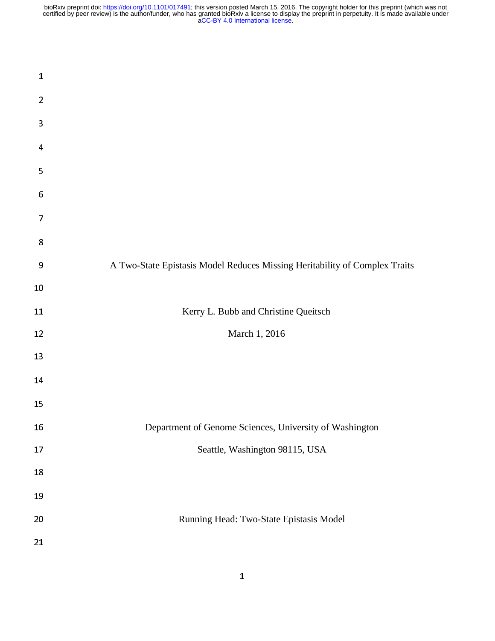| $\mathbf 1$             |                                                                            |
|-------------------------|----------------------------------------------------------------------------|
| $\overline{2}$          |                                                                            |
| 3                       |                                                                            |
| $\overline{\mathbf{4}}$ |                                                                            |
| 5                       |                                                                            |
| 6                       |                                                                            |
| $\overline{7}$          |                                                                            |
| 8                       |                                                                            |
| 9                       | A Two-State Epistasis Model Reduces Missing Heritability of Complex Traits |
| $10\,$                  |                                                                            |
| 11                      | Kerry L. Bubb and Christine Queitsch                                       |
| 12                      | March 1, 2016                                                              |
| 13                      |                                                                            |
| 14                      |                                                                            |
| 15                      |                                                                            |
| 16                      | Department of Genome Sciences, University of Washington                    |
| $17\,$                  | Seattle, Washington 98115, USA                                             |
| 18                      |                                                                            |
| 19                      |                                                                            |
| 20                      | Running Head: Two-State Epistasis Model                                    |
| 21                      |                                                                            |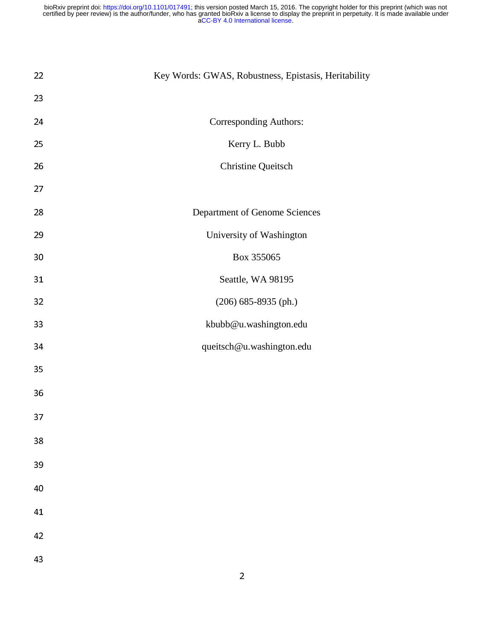| 22     | Key Words: GWAS, Robustness, Epistasis, Heritability |
|--------|------------------------------------------------------|
| 23     |                                                      |
| 24     | <b>Corresponding Authors:</b>                        |
| 25     | Kerry L. Bubb                                        |
| 26     | <b>Christine Queitsch</b>                            |
| 27     |                                                      |
| 28     | Department of Genome Sciences                        |
| 29     | University of Washington                             |
| $30\,$ | Box 355065                                           |
| 31     | Seattle, WA 98195                                    |
| 32     | $(206)$ 685-8935 (ph.)                               |
| 33     | kbubb@u.washington.edu                               |
| 34     | queitsch@u.washington.edu                            |
| 35     |                                                      |
| 36     |                                                      |
| 37     |                                                      |
| 38     |                                                      |
| 39     |                                                      |
| 40     |                                                      |
| 41     |                                                      |
| 42     |                                                      |
| 43     |                                                      |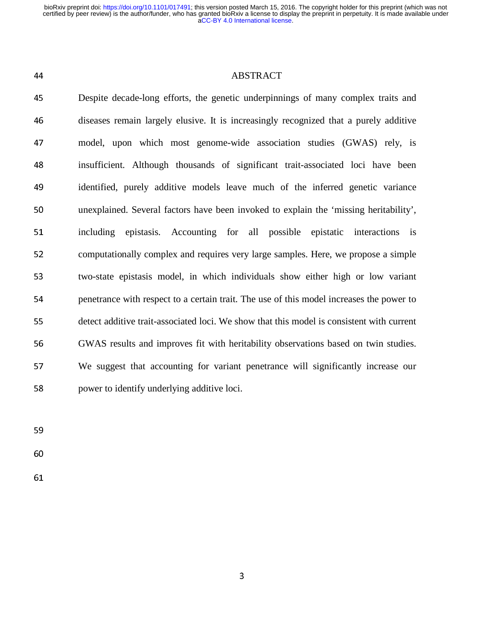## 44 ABSTRACT

45 Despite decade-long efforts, the genetic underpinnings of many complex traits and 46 diseases remain largely elusive. It is increasingly recognized that a purely additive 47 model, upon which most genome-wide association studies (GWAS) rely, is 48 insufficient. Although thousands of significant trait-associated loci have been 49 identified, purely additive models leave much of the inferred genetic variance 50 unexplained. Several factors have been invoked to explain the 'missing heritability', 51 including epistasis. Accounting for all possible epistatic interactions is 52 computationally complex and requires very large samples. Here, we propose a simple 53 two-state epistasis model, in which individuals show either high or low variant 54 penetrance with respect to a certain trait. The use of this model increases the power to 55 detect additive trait-associated loci. We show that this model is consistent with current <sup>56</sup>GWAS results and improves fit with heritability observations based on twin studies. <sup>57</sup>We suggest that accounting for variant penetrance will significantly increase our 58 power to identify underlying additive loci.

61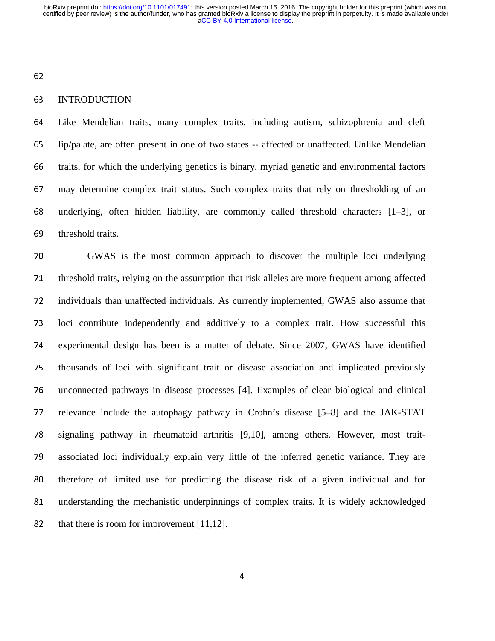#### 63 INTRODUCTION

<sup>64</sup>Like Mendelian traits, many complex traits, including autism, schizophrenia and cleft 65 lip/palate, are often present in one of two states -- affected or unaffected. Unlike Mendelian 66 traits, for which the underlying genetics is binary, myriad genetic and environmental factors <sup>67</sup>may determine complex trait status. Such complex traits that rely on thresholding of an 68 underlying, often hidden liability, are commonly called threshold characters  $[1-3]$ , or 69 threshold traits.

<sup>70</sup>GWAS is the most common approach to discover the multiple loci underlying 71 threshold traits, relying on the assumption that risk alleles are more frequent among affected 72 individuals than unaffected individuals. As currently implemented, GWAS also assume that 73 loci contribute independently and additively to a complex trait. How successful this 74 experimental design has been is a matter of debate. Since 2007, GWAS have identified 75 thousands of loci with significant trait or disease association and implicated previously <sup>76</sup>unconnected pathways in disease processes [4]. Examples of clear biological and clinical 77 relevance include the autophagy pathway in Crohn's disease [5–8] and the JAK-STAT 78 signaling pathway in rheumatoid arthritis [9,10], among others. However, most trait-79 associated loci individually explain very little of the inferred genetic variance. They are 80 therefore of limited use for predicting the disease risk of a given individual and for 81 understanding the mechanistic underpinnings of complex traits. It is widely acknowledged 82 that there is room for improvement  $[11,12]$ .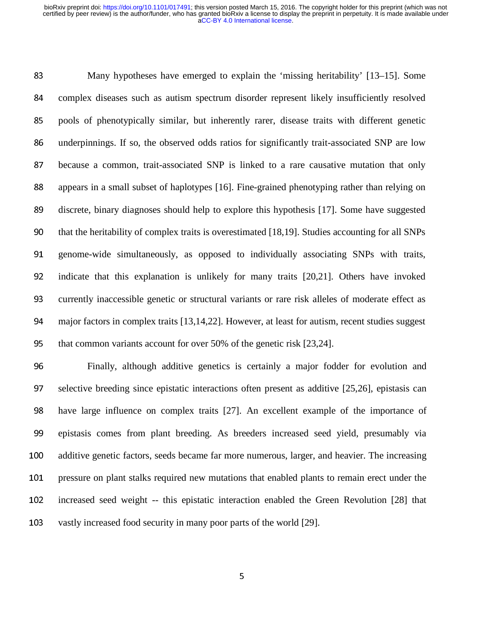83 Many hypotheses have emerged to explain the 'missing heritability' [13–15]. Some 84 complex diseases such as autism spectrum disorder represent likely insufficiently resolved 85 pools of phenotypically similar, but inherently rarer, disease traits with different genetic 86 underpinnings. If so, the observed odds ratios for significantly trait-associated SNP are low 87 because a common, trait-associated SNP is linked to a rare causative mutation that only 88 appears in a small subset of haplotypes [16]. Fine-grained phenotyping rather than relying on 89 discrete, binary diagnoses should help to explore this hypothesis [17]. Some have suggested 90 that the heritability of complex traits is overestimated [18,19]. Studies accounting for all SNPs 91 genome-wide simultaneously, as opposed to individually associating SNPs with traits, 92 indicate that this explanation is unlikely for many traits [20,21]. Others have invoked 93 currently inaccessible genetic or structural variants or rare risk alleles of moderate effect as 94 major factors in complex traits [13,14,22]. However, at least for autism, recent studies suggest 95 that common variants account for over 50% of the genetic risk [23,24].

<sup>96</sup>Finally, although additive genetics is certainly a major fodder for evolution and 97 selective breeding since epistatic interactions often present as additive [25,26], epistasis can 98 have large influence on complex traits [27]. An excellent example of the importance of 99 epistasis comes from plant breeding. As breeders increased seed yield, presumably via 100 additive genetic factors, seeds became far more numerous, larger, and heavier. The increasing 101 pressure on plant stalks required new mutations that enabled plants to remain erect under the 102 increased seed weight -- this epistatic interaction enabled the Green Revolution [28] that 103 vastly increased food security in many poor parts of the world [29].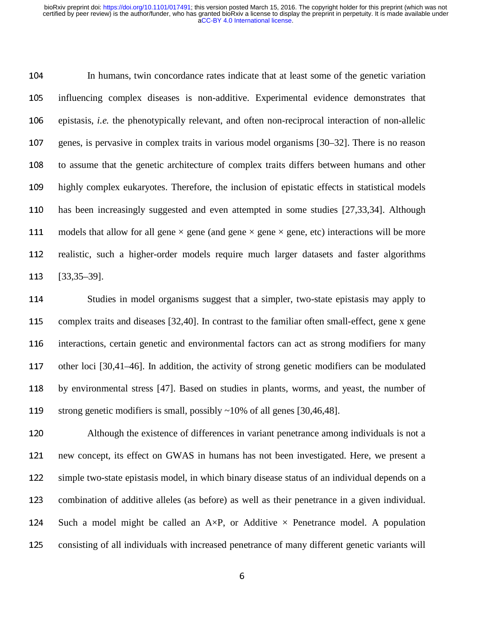104 In humans, twin concordance rates indicate that at least some of the genetic variation 105 influencing complex diseases is non-additive. Experimental evidence demonstrates that 106 epistasis, *i.e.* the phenotypically relevant, and often non-reciprocal interaction of non-allelic 107 genes, is pervasive in complex traits in various model organisms [30–32]. There is no reason 108 to assume that the genetic architecture of complex traits differs between humans and other 109 highly complex eukaryotes. Therefore, the inclusion of epistatic effects in statistical models 110 has been increasingly suggested and even attempted in some studies [27,33,34]. Although 111 models that allow for all gene  $\times$  gene (and gene  $\times$  gene  $\times$  gene, etc) interactions will be more 112 realistic, such a higher-order models require much larger datasets and faster algorithms <sup>113</sup>[33,35–39].

114 Studies in model organisms suggest that a simpler, two-state epistasis may apply to 115 complex traits and diseases [32,40]. In contrast to the familiar often small-effect, gene x gene 116 interactions, certain genetic and environmental factors can act as strong modifiers for many 117 other loci [30,41–46]. In addition, the activity of strong genetic modifiers can be modulated <sup>118</sup>by environmental stress [47]. Based on studies in plants, worms, and yeast, the number of 119 strong genetic modifiers is small, possibly  $\sim$ 10% of all genes [30,46,48].

120 Although the existence of differences in variant penetrance among individuals is not a 121 new concept, its effect on GWAS in humans has not been investigated. Here, we present a 122 simple two-state epistasis model, in which binary disease status of an individual depends on a 123 combination of additive alleles (as before) as well as their penetrance in a given individual. 124 Such a model might be called an  $A\times P$ , or Additive  $\times$  Penetrance model. A population 125 consisting of all individuals with increased penetrance of many different genetic variants will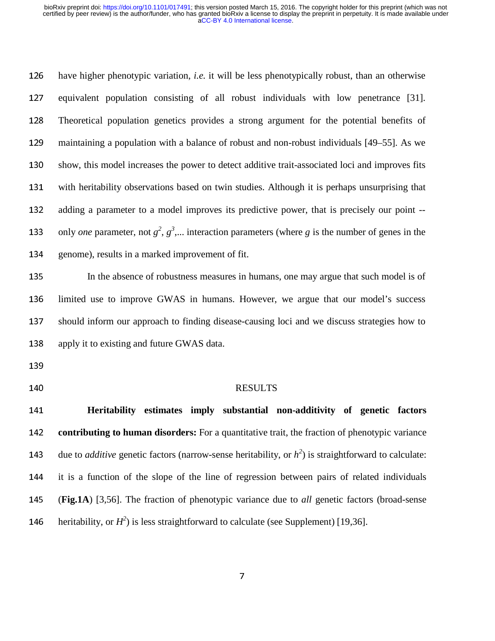126 have higher phenotypic variation, *i.e.* it will be less phenotypically robust, than an otherwise <sup>127</sup>equivalent population consisting of all robust individuals with low penetrance [31]. <sup>128</sup>Theoretical population genetics provides a strong argument for the potential benefits of 129 maintaining a population with a balance of robust and non-robust individuals [49–55]. As we 130 show, this model increases the power to detect additive trait-associated loci and improves fits 131 with heritability observations based on twin studies. Although it is perhaps unsurprising that 132 adding a parameter to a model improves its predictive power, that is precisely our point --133 only *one* parameter, not  $g^2$ ,  $g^3$ ,... interaction parameters (where *g* is the number of genes in the 134 genome), results in a marked improvement of fit.

<sup>135</sup>In the absence of robustness measures in humans, one may argue that such model is of 136 limited use to improve GWAS in humans. However, we argue that our model's success 137 should inform our approach to finding disease-causing loci and we discuss strategies how to 138 apply it to existing and future GWAS data.

- 
- 

# 140 RESULTS

<sup>141</sup>**Heritability estimates imply substantial non-additivity of genetic factors**  <sup>142</sup>**contributing to human disorders:** For a quantitative trait, the fraction of phenotypic variance 143 due to *additive* genetic factors (narrow-sense heritability, or  $h^2$ ) is straightforward to calculate: 144 it is a function of the slope of the line of regression between pairs of related individuals <sup>145</sup>(**Fig.1A**) [3,56]. The fraction of phenotypic variance due to *all* genetic factors (broad-sense 146 heritability, or  $H^2$ ) is less straightforward to calculate (see Supplement) [19,36].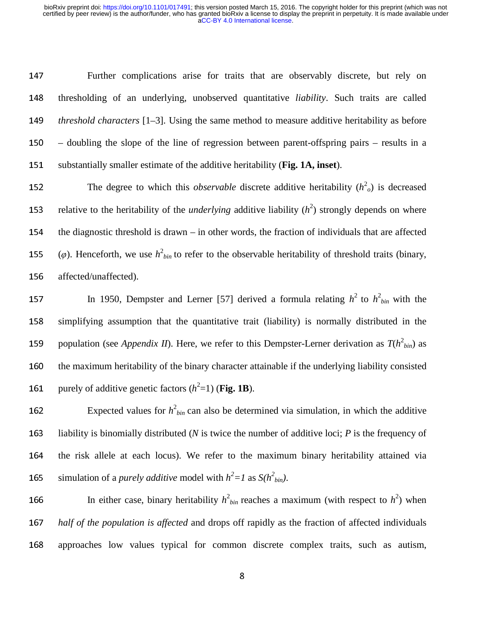147 Further complications arise for traits that are observably discrete, but rely on 148 thresholding of an underlying, unobserved quantitative *liability*. Such traits are called <sup>149</sup>*threshold characters* [1–3]. Using the same method to measure additive heritability as before <sup>150</sup>– doubling the slope of the line of regression between parent-offspring pairs – results in a <sup>151</sup>substantially smaller estimate of the additive heritability (**Fig. 1A, inset**).

The degree to which this *observable* discrete additive heritability  $(h^2_{\rho})$  is decreased 153 relative to the heritability of the *underlying* additive liability  $(h^2)$  strongly depends on where 154 the diagnostic threshold is drawn – in other words, the fraction of individuals that are affected 155 ( $\varphi$ ). Henceforth, we use  $h^2_{bin}$  to refer to the observable heritability of threshold traits (binary, 156 affected/unaffected).

157 In 1950, Dempster and Lerner [57] derived a formula relating  $h^2$  to  $h^2_{bin}$  with the <sup>158</sup>simplifying assumption that the quantitative trait (liability) is normally distributed in the 159 population (see *Appendix II*). Here, we refer to this Dempster-Lerner derivation as  $T(h^2_{bin})$  as 160 the maximum heritability of the binary character attainable if the underlying liability consisted 161 purely of additive genetic factors  $(h^2=1)$  (**Fig. 1B**).

Expected values for  $h^2_{bin}$  can also be determined via simulation, in which the additive <sup>163</sup>liability is binomially distributed (*N* is twice the number of additive loci; *P* is the frequency of 164 the risk allele at each locus). We refer to the maximum binary heritability attained via 165 simulation of a *purely additive* model with  $h^2 = I$  as  $S(h^2_{bin})$ .

166 In either case, binary heritability  $h^2_{bin}$  reaches a maximum (with respect to  $h^2$ ) when <sup>167</sup>*half of the population is affected* and drops off rapidly as the fraction of affected individuals 168 approaches low values typical for common discrete complex traits, such as autism,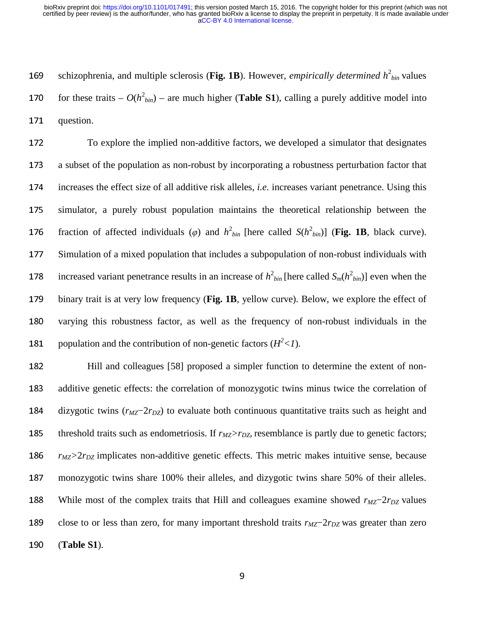schizophrenia, and multiple sclerosis (**Fig. 1B**). However, *empirically determined*  $h^2_{bin}$  values for these traits –  $O(h^2_{bin})$  – are much higher (**Table S1**), calling a purely additive model into 171 question.

172 To explore the implied non-additive factors, we developed a simulator that designates <sup>173</sup>a subset of the population as non-robust by incorporating a robustness perturbation factor that 174 increases the effect size of all additive risk alleles, *i.e.* increases variant penetrance. Using this <sup>175</sup>simulator, a purely robust population maintains the theoretical relationship between the fraction of affected individuals ( $\varphi$ ) and  $h^2_{bin}$  [here called  $S(h^2_{bin})$ ] (**Fig. 1B**, black curve). 177 Simulation of a mixed population that includes a subpopulation of non-robust individuals with increased variant penetrance results in an increase of  $h^2_{bin}$  [here called  $S_m(h^2_{bin})$ ] even when the 179 binary trait is at very low frequency (**Fig. 1B**, yellow curve). Below, we explore the effect of 180 varying this robustness factor, as well as the frequency of non-robust individuals in the 181 population and the contribution of non-genetic factors  $(H^2 < 1)$ .

182 Hill and colleagues [58] proposed a simpler function to determine the extent of non-183 additive genetic effects: the correlation of monozygotic twins minus twice the correlation of <sup>184</sup>dizygotic twins (*rMZ*−2*rDZ*) to evaluate both continuous quantitative traits such as height and 185 threshold traits such as endometriosis. If  $r_{MZ} > r_{DZ}$ , resemblance is partly due to genetic factors; 186  $r_{MZ}$  $\ge$ 2 $r_{DZ}$  implicates non-additive genetic effects. This metric makes intuitive sense, because 187 monozygotic twins share 100% their alleles, and dizygotic twins share 50% of their alleles. 188 While most of the complex traits that Hill and colleagues examine showed  $r_{MZ}$ −2 $r_{DZ}$  values 189 close to or less than zero, for many important threshold traits *r<sub>MZ</sub>*−2*r<sub>DZ</sub>* was greater than zero <sup>190</sup>(**Table S1**).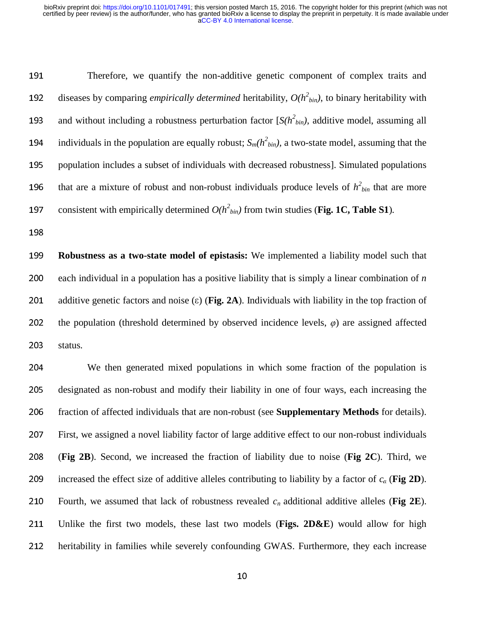191 Therefore, we quantify the non-additive genetic component of complex traits and diseases by comparing *empirically determined* heritability,  $O(h^2_{bin})$ , to binary heritability with and without including a robustness perturbation factor  $[S(h^2_{bin})$ , additive model, assuming all 194 individuals in the population are equally robust;  $S_m(h^2_{bin})$ , a two-state model, assuming that the 195 population includes a subset of individuals with decreased robustness]. Simulated populations 196 that are a mixture of robust and non-robust individuals produce levels of  $h^2_{bin}$  that are more consistent with empirically determined  $O(h^2_{bin})$  from twin studies (Fig. 1C, Table S1)*.* 

<sup>199</sup>**Robustness as a two-state model of epistasis:** We implemented a liability model such that 200 each individual in a population has a positive liability that is simply a linear combination of  $n$ 201 additive genetic factors and noise (ε) (**Fig. 2A**). Individuals with liability in the top fraction of 202 the population (threshold determined by observed incidence levels,  $\varphi$ ) are assigned affected 203 status.

<sup>204</sup>We then generated mixed populations in which some fraction of the population is 205 designated as non-robust and modify their liability in one of four ways, each increasing the <sup>206</sup>fraction of affected individuals that are non-robust (see **Supplementary Methods** for details). 207 First, we assigned a novel liability factor of large additive effect to our non-robust individuals <sup>208</sup>(**Fig 2B**). Second, we increased the fraction of liability due to noise (**Fig 2C**). Third, we 209 increased the effect size of additive alleles contributing to liability by a factor of  $c_a$  (**Fig 2D**). 210 Fourth, we assumed that lack of robustness revealed  $c_n$  additional additive alleles (**Fig 2E**). 211 Unlike the first two models, these last two models (Figs. 2D&E) would allow for high 212 heritability in families while severely confounding GWAS. Furthermore, they each increase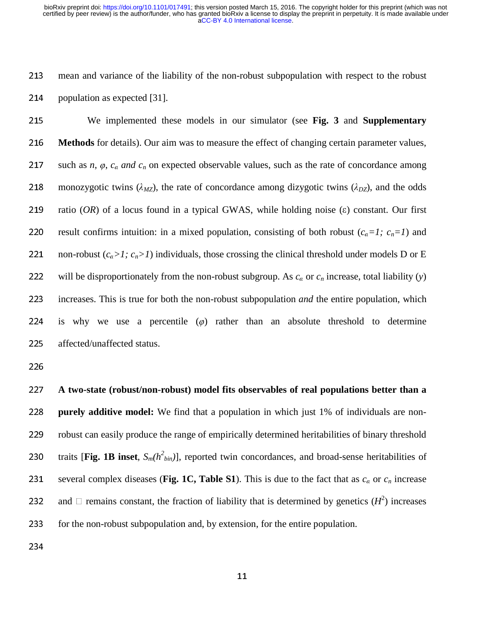213 mean and variance of the liability of the non-robust subpopulation with respect to the robust 214 population as expected [31].

<sup>215</sup>We implemented these models in our simulator (see **Fig. 3** and **Supplementary**  <sup>216</sup>**Methods** for details). Our aim was to measure the effect of changing certain parameter values, 217 such as *n*,  $\varphi$ ,  $c_{\alpha}$  *and*  $c_n$  on expected observable values, such as the rate of concordance among 218 monozygotic twins ( $\lambda_{MZ}$ ), the rate of concordance among dizygotic twins ( $\lambda_{DZ}$ ), and the odds 219 ratio (*OR*) of a locus found in a typical GWAS, while holding noise ( $\varepsilon$ ) constant. Our first 220 result confirms intuition: in a mixed population, consisting of both robust  $(c_{\alpha}=1; c_{\alpha}=1)$  and 221 non-robust  $(c_{\alpha} > 1; c_{\alpha} > 1)$  individuals, those crossing the clinical threshold under models D or E 222 will be disproportionately from the non-robust subgroup. As  $c_{\alpha}$  or  $c_n$  increase, total liability (*y*) 223 increases. This is true for both the non-robust subpopulation *and* the entire population, which 224 is why we use a percentile  $(\varphi)$  rather than an absolute threshold to determine 225 affected/unaffected status.

<sup>227</sup>**A two-state (robust/non-robust) model fits observables of real populations better than a**  228 **purely additive model:** We find that a population in which just 1% of individuals are non-229 robust can easily produce the range of empirically determined heritabilities of binary threshold 230 traits [Fig. 1B inset,  $S_m(h^2_{bin})$ ], reported twin concordances, and broad-sense heritabilities of 231 several complex diseases (**Fig. 1C, Table S1**). This is due to the fact that as  $c_a$  or  $c_n$  increase and  $\Box$  remains constant, the fraction of liability that is determined by genetics  $(H^2)$  increases 233 for the non-robust subpopulation and, by extension, for the entire population.

234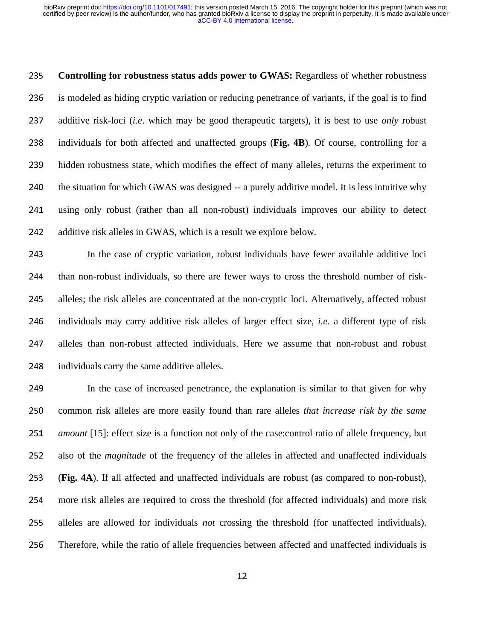<sup>235</sup>**Controlling for robustness status adds power to GWAS:** Regardless of whether robustness 236 is modeled as hiding cryptic variation or reducing penetrance of variants, if the goal is to find <sup>237</sup>additive risk-loci (*i.e*. which may be good therapeutic targets), it is best to use *only* robust 238 individuals for both affected and unaffected groups (Fig. 4B). Of course, controlling for a 239 hidden robustness state, which modifies the effect of many alleles, returns the experiment to 240 the situation for which GWAS was designed -- a purely additive model. It is less intuitive why 241 using only robust (rather than all non-robust) individuals improves our ability to detect 242 additive risk alleles in GWAS, which is a result we explore below.

243 In the case of cryptic variation, robust individuals have fewer available additive loci 244 than non-robust individuals, so there are fewer ways to cross the threshold number of risk-245 alleles; the risk alleles are concentrated at the non-cryptic loci. Alternatively, affected robust 246 individuals may carry additive risk alleles of larger effect size, *i.e.* a different type of risk 247 alleles than non-robust affected individuals. Here we assume that non-robust and robust 248 individuals carry the same additive alleles.

249 In the case of increased penetrance, the explanation is similar to that given for why 250 common risk alleles are more easily found than rare alleles *that increase risk by the same* <sup>251</sup>*amount* [15]: effect size is a function not only of the case:control ratio of allele frequency, but 252 also of the *magnitude* of the frequency of the alleles in affected and unaffected individuals <sup>253</sup>(**Fig. 4A**). If all affected and unaffected individuals are robust (as compared to non-robust), <sup>254</sup>more risk alleles are required to cross the threshold (for affected individuals) and more risk <sup>255</sup>alleles are allowed for individuals *not* crossing the threshold (for unaffected individuals). 256 Therefore, while the ratio of allele frequencies between affected and unaffected individuals is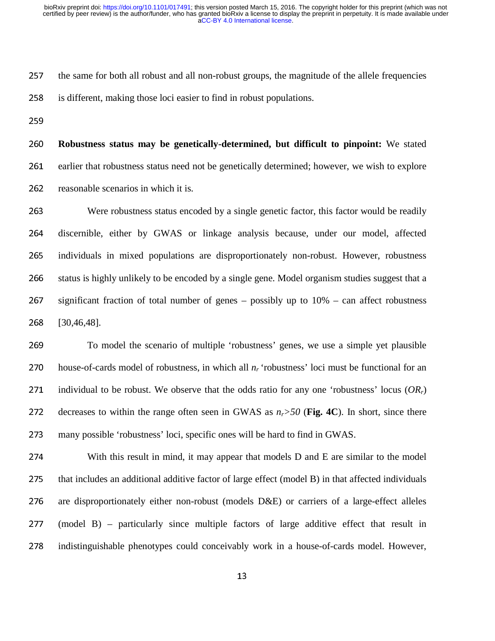257 the same for both all robust and all non-robust groups, the magnitude of the allele frequencies 258 is different, making those loci easier to find in robust populations.

<sup>260</sup>**Robustness status may be genetically-determined, but difficult to pinpoint:** We stated 261 earlier that robustness status need not be genetically determined; however, we wish to explore 262 reasonable scenarios in which it is.

263 Were robustness status encoded by a single genetic factor, this factor would be readily 264 discernible, either by GWAS or linkage analysis because, under our model, affected 265 individuals in mixed populations are disproportionately non-robust. However, robustness 266 status is highly unlikely to be encoded by a single gene. Model organism studies suggest that a 267 significant fraction of total number of genes – possibly up to  $10\%$  – can affect robustness <sup>268</sup>[30,46,48].

<sup>269</sup>To model the scenario of multiple 'robustness' genes, we use a simple yet plausible 270 house-of-cards model of robustness, in which all  $n_r$  'robustness' loci must be functional for an 271 individual to be robust. We observe that the odds ratio for any one 'robustness' locus  $(OR<sub>r</sub>)$ 272 decreases to within the range often seen in GWAS as  $n_r > 50$  (Fig. 4C). In short, since there 273 many possible 'robustness' loci, specific ones will be hard to find in GWAS.

274 With this result in mind, it may appear that models D and E are similar to the model 275 that includes an additional additive factor of large effect (model B) in that affected individuals 276 are disproportionately either non-robust (models D&E) or carriers of a large-effect alleles <sup>277</sup>(model B) – particularly since multiple factors of large additive effect that result in 278 indistinguishable phenotypes could conceivably work in a house-of-cards model. However,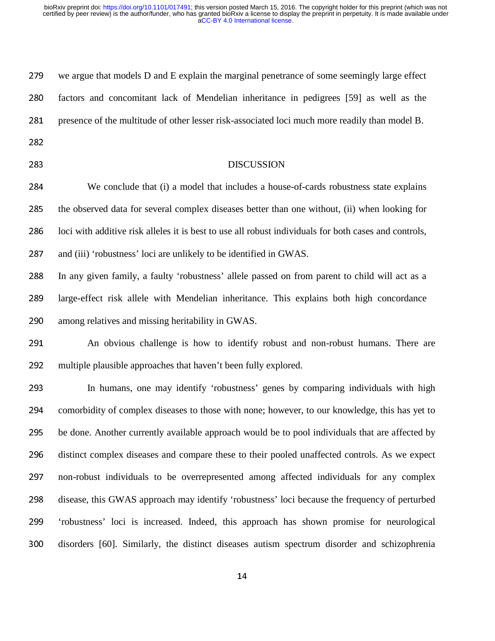| 279 | we argue that models D and E explain the marginal penetrance of some seemingly large effect           |
|-----|-------------------------------------------------------------------------------------------------------|
| 280 | factors and concomitant lack of Mendelian inheritance in pedigrees [59] as well as the                |
| 281 | presence of the multitude of other lesser risk-associated loci much more readily than model B.        |
| 282 |                                                                                                       |
| 283 | <b>DISCUSSION</b>                                                                                     |
| 284 | We conclude that (i) a model that includes a house-of-cards robustness state explains                 |
| 285 | the observed data for several complex diseases better than one without, (ii) when looking for         |
| 286 | loci with additive risk alleles it is best to use all robust individuals for both cases and controls, |
| 287 | and (iii) 'robustness' loci are unlikely to be identified in GWAS.                                    |
| 288 | In any given family, a faulty 'robustness' allele passed on from parent to child will act as a        |
| 289 | large-effect risk allele with Mendelian inheritance. This explains both high concordance              |
| 290 | among relatives and missing heritability in GWAS.                                                     |
| 291 | An obvious challenge is how to identify robust and non-robust humans. There are                       |
| 292 | multiple plausible approaches that haven't been fully explored.                                       |
| 293 | In humans, one may identify 'robustness' genes by comparing individuals with high                     |
| 294 | comorbidity of complex diseases to those with none; however, to our knowledge, this has yet to        |
|     | 295 be done. Another currently available approach would be to pool individuals that are affected by   |
| 296 | distinct complex diseases and compare these to their pooled unaffected controls. As we expect         |
| 297 | non-robust individuals to be overrepresented among affected individuals for any complex               |
| 298 | disease, this GWAS approach may identify 'robustness' loci because the frequency of perturbed         |
| 299 | 'robustness' loci is increased. Indeed, this approach has shown promise for neurological              |
| 300 | disorders [60]. Similarly, the distinct diseases autism spectrum disorder and schizophrenia           |
|     |                                                                                                       |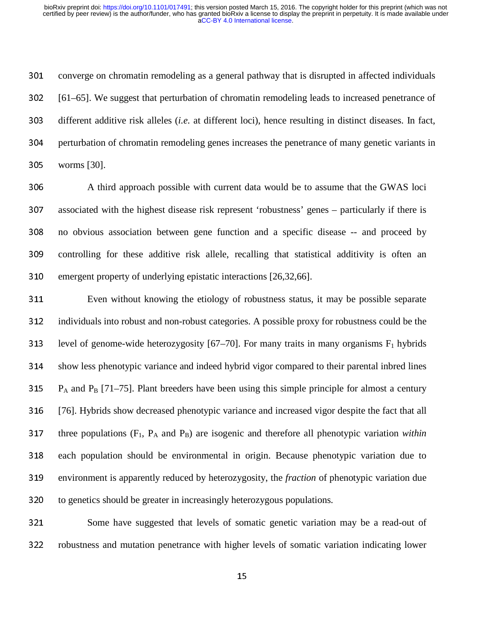301 converge on chromatin remodeling as a general pathway that is disrupted in affected individuals <sup>302</sup>[61–65]. We suggest that perturbation of chromatin remodeling leads to increased penetrance of 303 different additive risk alleles (*i.e.* at different loci), hence resulting in distinct diseases. In fact, 304 perturbation of chromatin remodeling genes increases the penetrance of many genetic variants in 305 worms [30].

306 A third approach possible with current data would be to assume that the GWAS loci 307 associated with the highest disease risk represent 'robustness' genes – particularly if there is 308 no obvious association between gene function and a specific disease -- and proceed by 309 controlling for these additive risk allele, recalling that statistical additivity is often an 310 emergent property of underlying epistatic interactions [26,32,66].

311 Even without knowing the etiology of robustness status, it may be possible separate 312 individuals into robust and non-robust categories. A possible proxy for robustness could be the 313 level of genome-wide heterozygosity  $[67–70]$ . For many traits in many organisms  $F_1$  hybrids 314 show less phenotypic variance and indeed hybrid vigor compared to their parental inbred lines  $315$  P<sub>A</sub> and P<sub>B</sub> [71–75]. Plant breeders have been using this simple principle for almost a century <sup>316</sup>[76]. Hybrids show decreased phenotypic variance and increased vigor despite the fact that all 317 three populations  $(F_1, P_A$  and  $P_B)$  are isogenic and therefore all phenotypic variation *within* 318 each population should be environmental in origin. Because phenotypic variation due to 319 environment is apparently reduced by heterozygosity, the *fraction* of phenotypic variation due 320 to genetics should be greater in increasingly heterozygous populations.

321 Some have suggested that levels of somatic genetic variation may be a read-out of 322 robustness and mutation penetrance with higher levels of somatic variation indicating lower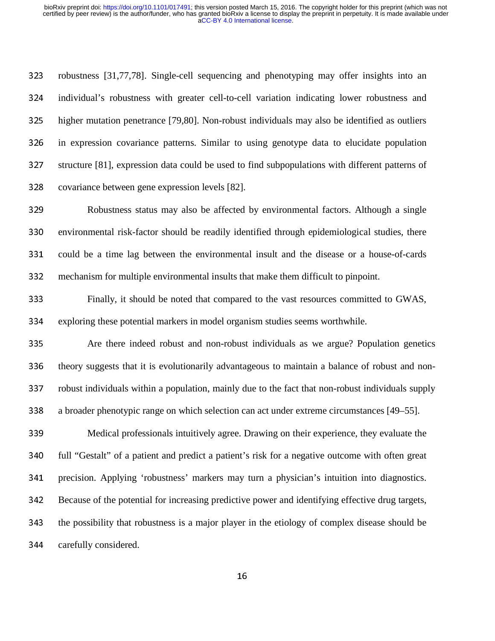323 robustness [31,77,78]. Single-cell sequencing and phenotyping may offer insights into an 324 individual's robustness with greater cell-to-cell variation indicating lower robustness and 325 higher mutation penetrance [79,80]. Non-robust individuals may also be identified as outliers 326 in expression covariance patterns. Similar to using genotype data to elucidate population 327 structure [81], expression data could be used to find subpopulations with different patterns of 328 covariance between gene expression levels [82].

329 Robustness status may also be affected by environmental factors. Although a single 330 environmental risk-factor should be readily identified through epidemiological studies, there 331 could be a time lag between the environmental insult and the disease or a house-of-cards 332 mechanism for multiple environmental insults that make them difficult to pinpoint.

<sup>333</sup>Finally, it should be noted that compared to the vast resources committed to GWAS, 334 exploring these potential markers in model organism studies seems worthwhile.

335 Are there indeed robust and non-robust individuals as we argue? Population genetics 336 theory suggests that it is evolutionarily advantageous to maintain a balance of robust and non-337 robust individuals within a population, mainly due to the fact that non-robust individuals supply 338 a broader phenotypic range on which selection can act under extreme circumstances [49–55].

<sup>339</sup>Medical professionals intuitively agree. Drawing on their experience, they evaluate the 340 full "Gestalt" of a patient and predict a patient's risk for a negative outcome with often great 341 precision. Applying 'robustness' markers may turn a physician's intuition into diagnostics. 342 Because of the potential for increasing predictive power and identifying effective drug targets, 343 the possibility that robustness is a major player in the etiology of complex disease should be 344 carefully considered.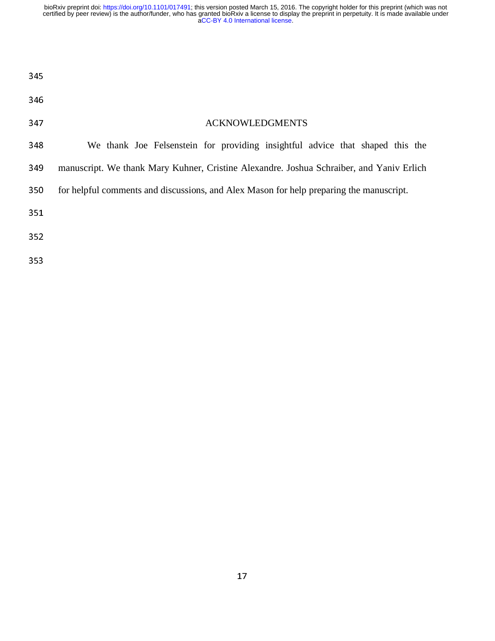| 345  |                                                                                          |
|------|------------------------------------------------------------------------------------------|
| 346  |                                                                                          |
| 347  | <b>ACKNOWLEDGMENTS</b>                                                                   |
| 348  | We thank Joe Felsenstein for providing insightful advice that shaped this the            |
| 349  | manuscript. We thank Mary Kuhner, Cristine Alexandre. Joshua Schraiber, and Yaniv Erlich |
| 350  | for helpful comments and discussions, and Alex Mason for help preparing the manuscript.  |
| 351  |                                                                                          |
| 352  |                                                                                          |
| 353. |                                                                                          |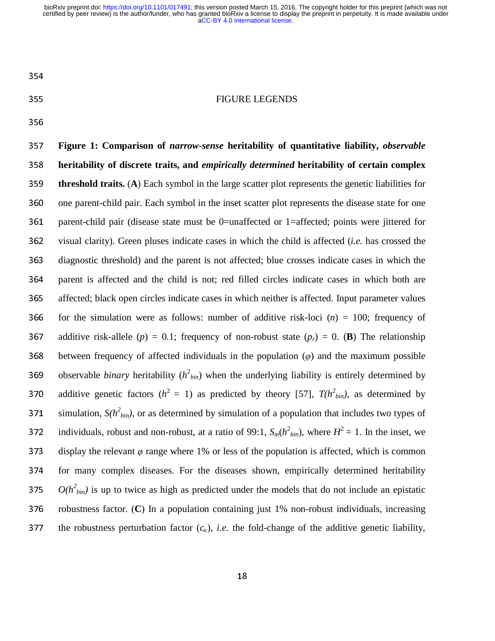354

#### 355FIGURE LEGENDS

<sup>357</sup>**Figure 1: Comparison of** *narrow-sense* **heritability of quantitative liability,** *observable*  <sup>358</sup>**heritability of discrete traits, and** *empirically determined* **heritability of certain complex**  <sup>359</sup>**threshold traits.** (**A**) Each symbol in the large scatter plot represents the genetic liabilities for 360 one parent-child pair. Each symbol in the inset scatter plot represents the disease state for one 361 parent-child pair (disease state must be 0=unaffected or 1=affected; points were jittered for 362 visual clarity). Green pluses indicate cases in which the child is affected *(i.e.* has crossed the 363 diagnostic threshold) and the parent is not affected; blue crosses indicate cases in which the 364 parent is affected and the child is not; red filled circles indicate cases in which both are 365 affected; black open circles indicate cases in which neither is affected. Input parameter values 366 for the simulation were as follows: number of additive risk-loci  $(n) = 100$ ; frequency of 367 additive risk-allele ( $p$ ) = 0.1; frequency of non-robust state ( $p<sub>r</sub>$ ) = 0. (**B**) The relationship 368 between frequency of affected individuals in the population  $(\varphi)$  and the maximum possible 369 observable *binary* heritability  $(h^2_{bin})$  when the underlying liability is entirely determined by 370 additive genetic factors ( $h^2 = 1$ ) as predicted by theory [57],  $T(h^2_{bin})$ , as determined by 371 simulation,  $S(h^2_{bin})$ , or as determined by simulation of a population that includes two types of 372 individuals, robust and non-robust, at a ratio of 99:1,  $S_m(h^2_{bin})$ , where  $H^2 = 1$ . In the inset, we 373 display the relevant  $\varphi$  range where 1% or less of the population is affected, which is common 374 for many complex diseases. For the diseases shown, empirically determined heritability 375  $O(h^2_{bin})$  is up to twice as high as predicted under the models that do not include an epistatic 376 robustness factor.  $(C)$  In a population containing just 1% non-robust individuals, increasing 377 the robustness perturbation factor  $(c_{\alpha})$ , *i.e.* the fold-change of the additive genetic liability,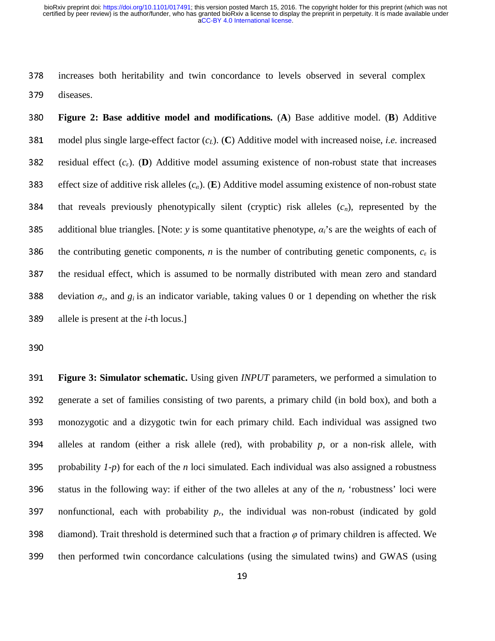378 increases both heritability and twin concordance to levels observed in several complex 379 diseases.

<sup>380</sup>**Figure 2: Base additive model and modifications.** (**A**) Base additive model. (**B**) Additive 381 model plus single large-effect factor  $(c_l)$ . (**C**) Additive model with increased noise, *i.e.* increased 382 residual effect  $(c_{\varepsilon})$ . (**D**) Additive model assuming existence of non-robust state that increases 383 effect size of additive risk alleles  $(c_a)$ . (**E**) Additive model assuming existence of non-robust state 384 that reveals previously phenotypically silent (cryptic) risk alleles  $(c_n)$ , represented by the 385 additional blue triangles. [Note: *y* is some quantitative phenotype,  $\alpha_i$ 's are the weights of each of 386 the contributing genetic components, *n* is the number of contributing genetic components,  $c_{\epsilon}$  is 387 the residual effect, which is assumed to be normally distributed with mean zero and standard 388 deviation  $\sigma_{\epsilon}$ , and  $g_i$  is an indicator variable, taking values 0 or 1 depending on whether the risk 389 allele is present at the *i*-th locus.]

390

<sup>391</sup>**Figure 3: Simulator schematic.** Using given *INPUT* parameters, we performed a simulation to 392 generate a set of families consisting of two parents, a primary child (in bold box), and both a <sup>393</sup>monozygotic and a dizygotic twin for each primary child. Each individual was assigned two 394 alleles at random (either a risk allele (red), with probability  $p$ , or a non-risk allele, with 395 probability  $1-p$ ) for each of the *n* loci simulated. Each individual was also assigned a robustness 396 status in the following way: if either of the two alleles at any of the  $n_r$  'robustness' loci were 397 nonfunctional, each with probability  $p_r$ , the individual was non-robust (indicated by gold 398 diamond). Trait threshold is determined such that a fraction  $\varphi$  of primary children is affected. We 399 then performed twin concordance calculations (using the simulated twins) and GWAS (using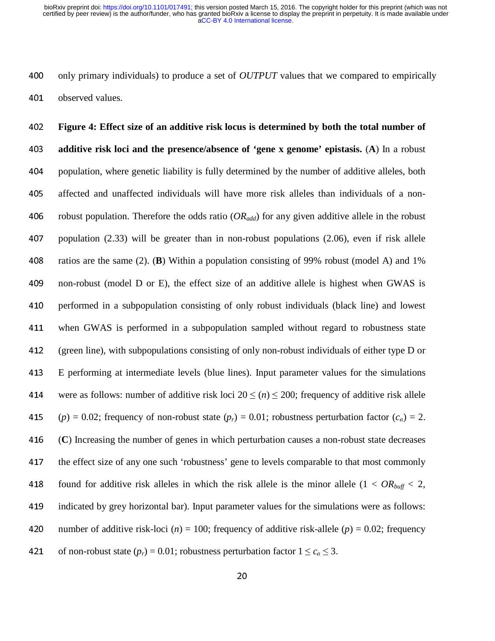400 only primary individuals) to produce a set of *OUTPUT* values that we compared to empirically 401 observed values.

<sup>402</sup>**Figure 4: Effect size of an additive risk locus is determined by both the total number of**  <sup>403</sup>**additive risk loci and the presence/absence of 'gene x genome' epistasis.** (**A**) In a robust 404 population, where genetic liability is fully determined by the number of additive alleles, both 405 affected and unaffected individuals will have more risk alleles than individuals of a non-406 robust population. Therefore the odds ratio  $(OR_{add})$  for any given additive allele in the robust 407 population  $(2.33)$  will be greater than in non-robust populations  $(2.06)$ , even if risk allele 408 ratios are the same  $(2)$ . (**B**) Within a population consisting of 99% robust (model A) and 1% 409 non-robust (model D or E), the effect size of an additive allele is highest when GWAS is 410 performed in a subpopulation consisting of only robust individuals (black line) and lowest 411 when GWAS is performed in a subpopulation sampled without regard to robustness state 412 (green line), with subpopulations consisting of only non-robust individuals of either type D or <sup>413</sup>E performing at intermediate levels (blue lines). Input parameter values for the simulations 414 were as follows: number of additive risk loci  $20 \leq (n) \leq 200$ ; frequency of additive risk allele 415 (*p*) = 0.02; frequency of non-robust state  $(p_r) = 0.01$ ; robustness perturbation factor  $(c_a) = 2$ . <sup>416</sup>(**C**) Increasing the number of genes in which perturbation causes a non-robust state decreases 417 the effect size of any one such 'robustness' gene to levels comparable to that most commonly 418 found for additive risk alleles in which the risk allele is the minor allele  $(1 < OR_{\text{buff}} < 2,$ 419 indicated by grey horizontal bar). Input parameter values for the simulations were as follows: 420 number of additive risk-loci (*n*) = 100; frequency of additive risk-allele (*p*) = 0.02; frequency 421 of non-robust state  $(p_r) = 0.01$ ; robustness perturbation factor  $1 \leq c_a \leq 3$ .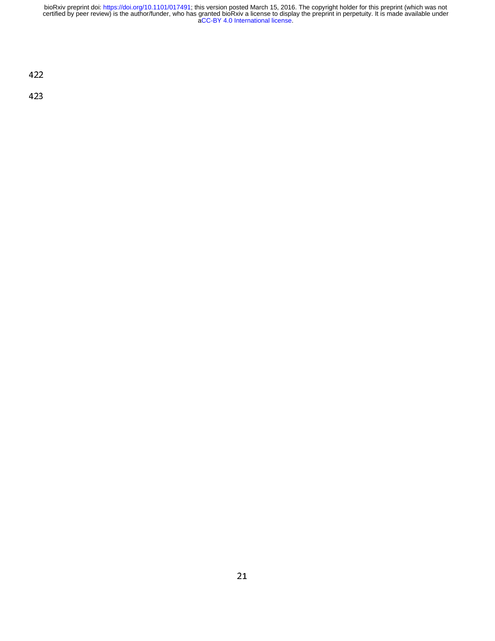422

423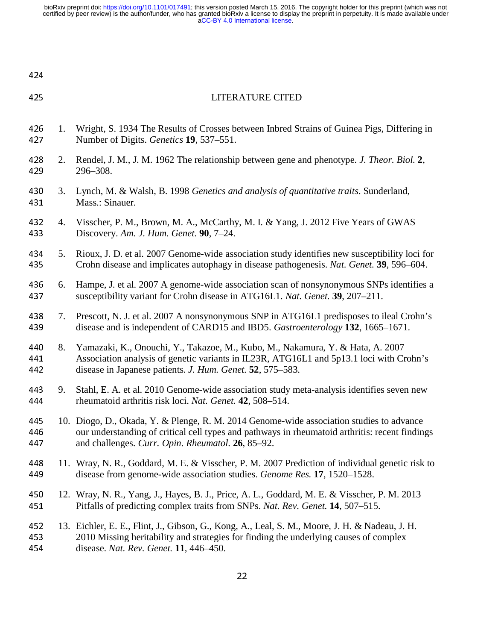| 424                     |                                                                                                                                                                                                                                                 |  |
|-------------------------|-------------------------------------------------------------------------------------------------------------------------------------------------------------------------------------------------------------------------------------------------|--|
| 425                     | LITERATURE CITED                                                                                                                                                                                                                                |  |
| 426<br>1.<br>427        | Wright, S. 1934 The Results of Crosses between Inbred Strains of Guinea Pigs, Differing in<br>Number of Digits. Genetics 19, 537–551.                                                                                                           |  |
| 428<br>2.<br>429        | Rendel, J. M., J. M. 1962 The relationship between gene and phenotype. J. Theor. Biol. 2,<br>296-308.                                                                                                                                           |  |
| 430<br>3.<br>431        | Lynch, M. & Walsh, B. 1998 Genetics and analysis of quantitative traits. Sunderland,<br>Mass.: Sinauer.                                                                                                                                         |  |
| 432<br>4.<br>433        | Visscher, P. M., Brown, M. A., McCarthy, M. I. & Yang, J. 2012 Five Years of GWAS<br>Discovery. Am. J. Hum. Genet. 90, 7-24.                                                                                                                    |  |
| 434<br>5.<br>435        | Rioux, J. D. et al. 2007 Genome-wide association study identifies new susceptibility loci for<br>Crohn disease and implicates autophagy in disease pathogenesis. Nat. Genet. 39, 596–604.                                                       |  |
| 436<br>6.<br>437        | Hampe, J. et al. 2007 A genome-wide association scan of nonsynonymous SNPs identifies a<br>susceptibility variant for Crohn disease in ATG16L1. Nat. Genet. 39, 207-211.                                                                        |  |
| 438<br>7.<br>439        | Prescott, N. J. et al. 2007 A nonsynonymous SNP in ATG16L1 predisposes to ileal Crohn's<br>disease and is independent of CARD15 and IBD5. Gastroenterology 132, 1665-1671.                                                                      |  |
| 8.<br>440<br>441<br>442 | Yamazaki, K., Onouchi, Y., Takazoe, M., Kubo, M., Nakamura, Y. & Hata, A. 2007<br>Association analysis of genetic variants in IL23R, ATG16L1 and 5p13.1 loci with Crohn's<br>disease in Japanese patients. J. Hum. Genet. 52, 575–583.          |  |
| 443<br>9.<br>444        | Stahl, E. A. et al. 2010 Genome-wide association study meta-analysis identifies seven new<br>rheumatoid arthritis risk loci. Nat. Genet. 42, 508–514.                                                                                           |  |
| 445<br>446<br>447       | 10. Diogo, D., Okada, Y. & Plenge, R. M. 2014 Genome-wide association studies to advance<br>our understanding of critical cell types and pathways in rheumatoid arthritis: recent findings<br>and challenges. Curr. Opin. Rheumatol. 26, 85–92. |  |
| 448<br>449              | 11. Wray, N. R., Goddard, M. E. & Visscher, P. M. 2007 Prediction of individual genetic risk to<br>disease from genome-wide association studies. Genome Res. 17, 1520–1528.                                                                     |  |
| 450<br>451              | 12. Wray, N. R., Yang, J., Hayes, B. J., Price, A. L., Goddard, M. E. & Visscher, P. M. 2013<br>Pitfalls of predicting complex traits from SNPs. Nat. Rev. Genet. 14, 507–515.                                                                  |  |
| 452<br>453<br>454       | 13. Eichler, E. E., Flint, J., Gibson, G., Kong, A., Leal, S. M., Moore, J. H. & Nadeau, J. H.<br>2010 Missing heritability and strategies for finding the underlying causes of complex<br>disease. Nat. Rev. Genet. 11, 446-450.               |  |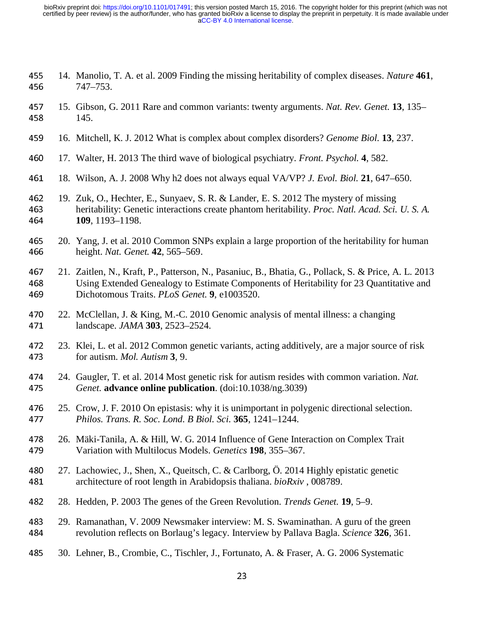- <sup>455</sup>14. Manolio, T. A. et al. 2009 Finding the missing heritability of complex diseases. *Nature* **<sup>461</sup>**, <sup>456</sup>747–753.
- <sup>457</sup>15. Gibson, G. 2011 Rare and common variants: twenty arguments. *Nat. Rev. Genet.* **<sup>13</sup>**, 135– 145.
- <sup>459</sup>16. Mitchell, K. J. 2012 What is complex about complex disorders? *Genome Biol.* **<sup>13</sup>**, 237.
- <sup>460</sup>17. Walter, H. 2013 The third wave of biological psychiatry. *Front. Psychol.* **<sup>4</sup>**, 582.
- <sup>461</sup>18. Wilson, A. J. 2008 Why h2 does not always equal VA/VP? *J. Evol. Biol.* **<sup>21</sup>**, 647–650.
- 462 19. Zuk, O., Hechter, E., Sunyaev, S. R. & Lander, E. S. 2012 The mystery of missing<br>463 heritability: Genetic interactions create phantom heritability. *Proc. Natl. Acad. Sci.* <sup>463</sup>heritability: Genetic interactions create phantom heritability. *Proc. Natl. Acad. Sci. U. S. A.* <sup>464</sup>**109**, 1193–1198.
- 465 20. Yang, J. et al. 2010 Common SNPs explain a large proportion of the heritability for human<br>466 height. Nat. Genet. 42, 565–569. <sup>466</sup>height. *Nat. Genet.* **<sup>42</sup>**, 565–569.
- 467 21. Zaitlen, N., Kraft, P., Patterson, N., Pasaniuc, B., Bhatia, G., Pollack, S. & Price, A. L. 2013<br>468 Using Extended Genealogy to Estimate Components of Heritability for 23 Quantitative and 468 Using Extended Genealogy to Estimate Components of Heritability for 23 Quantitative and<br>469 Dichotomous Traits. *PLoS Genet*. 9, e1003520. <sup>469</sup>Dichotomous Traits. *PLoS Genet.* **<sup>9</sup>**, e1003520.
- 470 22. McClellan, J. & King, M.-C. 2010 Genomic analysis of mental illness: a changing landscape. *JAMA* 303, 2523–2524. <sup>471</sup>landscape. *JAMA* **<sup>303</sup>**, 2523–2524.
- 472 23. Klei, L. et al. 2012 Common genetic variants, acting additively, are a major source of risk for autism. *Mol. Autism* 3, 9. <sup>473</sup>for autism. *Mol. Autism* **<sup>3</sup>**, 9.
- 474 24. Gaugler, T. et al. 2014 Most genetic risk for autism resides with common variation. *Nat.* **Genetical division Genetic advance online publication**. (doi:10.1038/ng.3039) <sup>475</sup>*Genet.* **advance online publication**. (doi:10.1038/ng.3039)
- 476 25. Crow, J. F. 2010 On epistasis: why it is unimportant in polygenic directional selection.<br>477 Philos. Trans. R. Soc. Lond. B Biol. Sci. 365. 1241–1244. <sup>477</sup>*Philos. Trans. R. Soc. Lond. B Biol. Sci.* **<sup>365</sup>**, 1241–1244.
- 478 26. Mäki-Tanila, A. & Hill, W. G. 2014 Influence of Gene Interaction on Complex Trait<br>479 Variation with Multilocus Models. *Genetics* 198, 355–367. <sup>479</sup>Variation with Multilocus Models. *Genetics* **<sup>198</sup>**, 355–367.
- 480 27. Lachowiec, J., Shen, X., Queitsch, C. & Carlborg, Ö. 2014 Highly epistatic genetic<br>481 carchitecture of root length in Arabidopsis thaliana. *bioRxiv*, 008789. architecture of root length in Arabidopsis thaliana. *bioRxiv*, 008789.
- <sup>482</sup>28. Hedden, P. 2003 The genes of the Green Revolution. *Trends Genet.* **<sup>19</sup>**, 5–9.
- 483 29. Ramanathan, V. 2009 Newsmaker interview: M. S. Swaminathan. A guru of the green revolution reflects on Borlaug's legacy. Interview by Pallava Bagla. Science 326, 361. <sup>484</sup>revolution reflects on Borlaug's legacy. Interview by Pallava Bagla. *Science* **<sup>326</sup>**, 361.
- <sup>485</sup>30. Lehner, B., Crombie, C., Tischler, J., Fortunato, A. & Fraser, A. G. 2006 Systematic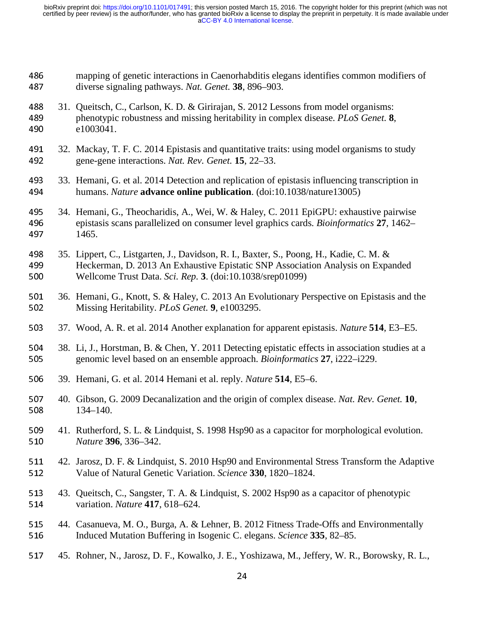- 486 mapping of genetic interactions in Caenorhabditis elegans identifies common modifiers of<br>487 diverse signaling pathways. Nat. Genet. **38**, 896–903. diverse signaling pathways. *Nat. Genet.* **38**, 896–903.
- 488 31. Queitsch, C., Carlson, K. D. & Girirajan, S. 2012 Lessons from model organisms:<br>489 bhenotypic robustness and missing heritability in complex disease. *PLoS Genet*. 8. 489 phenotypic robustness and missing heritability in complex disease. *PLoS Genet*. **8**, e1003041. e1003041.
- 491 32. Mackay, T. F. C. 2014 Epistasis and quantitative traits: using model organisms to study<br>492 gene-gene interactions. Nat. Rev. Genet. 15, 22–33. <sup>492</sup>gene-gene interactions. *Nat. Rev. Genet.* **<sup>15</sup>**, 22–33.
- 493 33. Hemani, G. et al. 2014 Detection and replication of epistasis influencing transcription in<br>494 humans. *Nature* **advance online publication**. (doi:10.1038/nature13005) <sup>494</sup>humans. *Nature* **advance online publication**. (doi:10.1038/nature13005)
- 495 34. Hemani, G., Theocharidis, A., Wei, W. & Haley, C. 2011 EpiGPU: exhaustive pairwise<br>496 epistasis scans parallelized on consumer level graphics cards. *Bioinformatics* 27, 1462– 496 epistasis scans parallelized on consumer level graphics cards. *Bioinformatics* 27, 1462–497 1465. 1465.
- 498 35. Lippert, C., Listgarten, J., Davidson, R. I., Baxter, S., Poong, H., Kadie, C. M. & 499 Heckerman, D. 2013 An Exhaustive Epistatic SNP Association Analysis on Expa 499 Heckerman, D. 2013 An Exhaustive Epistatic SNP Association Analysis on Expanded<br>500 Wellcome Trust Data. Sci. Rep. 3. (doi:10.1038/srep01099) <sup>500</sup>Wellcome Trust Data. *Sci. Rep.* **<sup>3</sup>**. (doi:10.1038/srep01099)
- 501 36. Hemani, G., Knott, S. & Haley, C. 2013 An Evolutionary Perspective on Epistasis and the<br>502 Missing Heritability. *PLoS Genet*. 9, e1003295. <sup>502</sup>Missing Heritability. *PLoS Genet.* **<sup>9</sup>**, e1003295.
- <sup>503</sup>37. Wood, A. R. et al. 2014 Another explanation for apparent epistasis. *Nature* **<sup>514</sup>**, E3–E5.
- 504 38. Li, J., Horstman, B. & Chen, Y. 2011 Detecting epistatic effects in association studies at a<br>505 eenomic level based on an ensemble approach. *Bioinformatics* 27, i222–i229. <sup>505</sup>genomic level based on an ensemble approach. *Bioinformatics* **<sup>27</sup>**, i222–i229.
- <sup>506</sup>39. Hemani, G. et al. 2014 Hemani et al. reply. *Nature* **<sup>514</sup>**, E5–6.
- <sup>507</sup>40. Gibson, G. 2009 Decanalization and the origin of complex disease. *Nat. Rev. Genet.* **<sup>10</sup>**, 134–140.
- 509 41. Rutherford, S. L. & Lindquist, S. 1998 Hsp90 as a capacitor for morphological evolution.<br>510 *Nature* **396**, 336–342. <sup>510</sup>*Nature* **<sup>396</sup>**, 336–342.
- 511 42. Jarosz, D. F. & Lindquist, S. 2010 Hsp90 and Environmental Stress Transform the Adaptive<br>512 Value of Natural Genetic Variation. Science 330, 1820–1824. <sup>512</sup>Value of Natural Genetic Variation. *Science* **<sup>330</sup>**, 1820–1824.
- 513 43. Queitsch, C., Sangster, T. A. & Lindquist, S. 2002 Hsp90 as a capacitor of phenotypic variation. *Nature* 417, 618–624. <sup>514</sup>variation. *Nature* **<sup>417</sup>**, 618–624.
- 515 44. Casanueva, M. O., Burga, A. & Lehner, B. 2012 Fitness Trade-Offs and Environmentally<br>516 Induced Mutation Buffering in Isogenic C. elegans. Science 335, 82–85. <sup>516</sup>Induced Mutation Buffering in Isogenic C. elegans. *Science* **<sup>335</sup>**, 82–85.
- <sup>517</sup>45. Rohner, N., Jarosz, D. F., Kowalko, J. E., Yoshizawa, M., Jeffery, W. R., Borowsky, R. L.,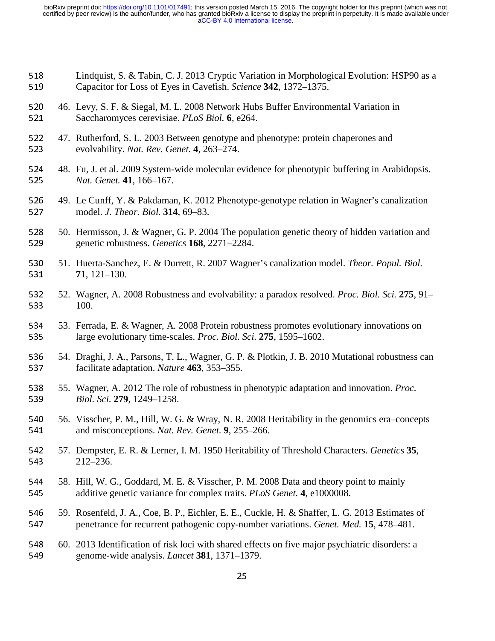- 518 Lindquist, S. & Tabin, C. J. 2013 Cryptic Variation in Morphological Evolution: HSP90 as a<br>519 Capacitor for Loss of Eyes in Cavefish. Science 342, 1372–1375. <sup>519</sup>Capacitor for Loss of Eyes in Cavefish. *Science* **<sup>342</sup>**, 1372–1375.
- 520 46. Levy, S. F. & Siegal, M. L. 2008 Network Hubs Buffer Environmental Variation in<br>521 Saccharomyces cerevisiae. *PLoS Biol*. 6, e264. Saccharomyces cerevisiae. *PLoS Biol.* **6**, e264.
- 522 47. Rutherford, S. L. 2003 Between genotype and phenotype: protein chaperones and evolvability. Nat. Rev. Genet. 4. 263–274. <sup>523</sup>evolvability. *Nat. Rev. Genet.* **<sup>4</sup>**, 263–274.
- 524 48. Fu, J. et al. 2009 System-wide molecular evidence for phenotypic buffering in Arabidopsis.<br>525 *Nat. Genet.* 41, 166–167. <sup>525</sup>*Nat. Genet.* **<sup>41</sup>**, 166–167.
- 526 49. Le Cunff, Y. & Pakdaman, K. 2012 Phenotype-genotype relation in Wagner's canalization model. J. Theor. Biol. 314, 69–83. <sup>527</sup>model. *J. Theor. Biol.* **<sup>314</sup>**, 69–83.
- 528 50. Hermisson, J. & Wagner, G. P. 2004 The population genetic theory of hidden variation and genetic robustness. *Genetics* **168**, 2271–2284. <sup>529</sup>genetic robustness. *Genetics* **<sup>168</sup>**, 2271–2284.
- 530 51. Huerta-Sanchez, E. & Durrett, R. 2007 Wagner's canalization model. *Theor. Popul. Biol.*<br>531 71, 121–130. <sup>531</sup>**71**, 121–130.
- <sup>532</sup>52. Wagner, A. 2008 Robustness and evolvability: a paradox resolved. *Proc. Biol. Sci.* **<sup>275</sup>**, 91– 100.
- 534 53. Ferrada, E. & Wagner, A. 2008 Protein robustness promotes evolutionary innovations on large evolutionary time-scales. *Proc. Biol. Sci.* 275, 1595–1602. large evolutionary time-scales. *Proc. Biol. Sci.* 275, 1595–1602.
- 536 54. Draghi, J. A., Parsons, T. L., Wagner, G. P. & Plotkin, J. B. 2010 Mutational robustness can facilitate adaptation. *Nature* **463**, 353–355. <sup>537</sup>facilitate adaptation. *Nature* **<sup>463</sup>**, 353–355.
- 538 55. Wagner, A. 2012 The role of robustness in phenotypic adaptation and innovation. *Proc.* **Biol.** *Sci.* **279**, 1249–1258. <sup>539</sup>*Biol. Sci.* **<sup>279</sup>**, 1249–1258.
- 540 56. Visscher, P. M., Hill, W. G. & Wray, N. R. 2008 Heritability in the genomics era–concepts<br>541 and misconceptions. *Nat. Rev. Genet.* 9, 255–266. and misconceptions. *Nat. Rev. Genet.* 9, 255–266.
- <sup>542</sup>57. Dempster, E. R. & Lerner, I. M. 1950 Heritability of Threshold Characters. *Genetics* **<sup>35</sup>**, 212–236.
- 544 58. Hill, W. G., Goddard, M. E. & Visscher, P. M. 2008 Data and theory point to mainly<br>545 ddditive genetic variance for complex traits. *PLoS Genet*. 4, e1000008. <sup>545</sup>additive genetic variance for complex traits. *PLoS Genet.* **<sup>4</sup>**, e1000008.
- 546 59. Rosenfeld, J. A., Coe, B. P., Eichler, E. E., Cuckle, H. & Shaffer, L. G. 2013 Estimates of penetrance for recurrent pathogenic copy-number variations. *Genet. Med.* 15, 478–481. <sup>547</sup>penetrance for recurrent pathogenic copy-number variations. *Genet. Med.* **<sup>15</sup>**, 478–481.
- 548 60. 2013 Identification of risk loci with shared effects on five major psychiatric disorders: a genome-wide analysis. *Lancet* 381, 1371–1379. <sup>549</sup>genome-wide analysis. *Lancet* **<sup>381</sup>**, 1371–1379.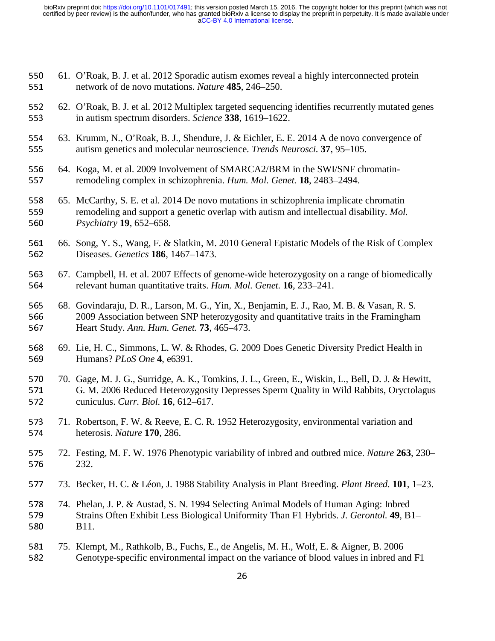- 550 61. O'Roak, B. J. et al. 2012 Sporadic autism exomes reveal a highly interconnected protein<br>551 etwork of de novo mutations *Nature* **485** 246–250 551 network of de novo mutations. *Nature* **485**, 246–250.
- 552 62. O'Roak, B. J. et al. 2012 Multiplex targeted sequencing identifies recurrently mutated genes<br>553 in autism spectrum disorders. Science 338, 1619–1622. <sup>553</sup>in autism spectrum disorders. *Science* **<sup>338</sup>**, 1619–1622.
- 554 63. Krumm, N., O'Roak, B. J., Shendure, J. & Eichler, E. E. 2014 A de novo convergence of autism genetics and molecular neuroscience. *Trends Neurosci*. **37**, 95–105. <sup>555</sup>autism genetics and molecular neuroscience. *Trends Neurosci.* **<sup>37</sup>**, 95–105.
- 556 64. Koga, M. et al. 2009 Involvement of SMARCA2/BRM in the SWI/SNF chromatin-<br>557 modeling complex in schizophrenia. *Hum. Mol. Genet.* **18**, 2483–2494. <sup>557</sup>remodeling complex in schizophrenia. *Hum. Mol. Genet.* **<sup>18</sup>**, 2483–2494.
- 558 65. McCarthy, S. E. et al. 2014 De novo mutations in schizophrenia implicate chromatin<br>559 remodeling and support a genetic overlap with autism and intellectual disability. Mol. 559 remodeling and support a genetic overlap with autism and intellectual disability. *Mol. Psychiatry* **19**, 652–658. <sup>560</sup>*Psychiatry* **<sup>19</sup>**, 652–658.
- 561 66. Song, Y. S., Wang, F. & Slatkin, M. 2010 General Epistatic Models of the Risk of Complex<br>562 Diseases. *Genetics* **186**, 1467–1473. <sup>562</sup>Diseases. *Genetics* **<sup>186</sup>**, 1467–1473.
- 563 67. Campbell, H. et al. 2007 Effects of genome-wide heterozygosity on a range of biomedically relevant human quantitative traits. *Hum. Mol. Genet*. **16**, 233–241. <sup>564</sup>relevant human quantitative traits. *Hum. Mol. Genet.* **<sup>16</sup>**, 233–241.
- 565 68. Govindaraju, D. R., Larson, M. G., Yin, X., Benjamin, E. J., Rao, M. B. & Vasan, R. S. 566 2009 Association between SNP heterozygosity and quantitative traits in the Framingham 566 2009 Association between SNP heterozygosity and quantitative traits in the Framingham<br>567 Heart Study. Ann. Hum. Genet. 73, 465–473. <sup>567</sup>Heart Study. *Ann. Hum. Genet.* **<sup>73</sup>**, 465–473.
- 568 69. Lie, H. C., Simmons, L. W. & Rhodes, G. 2009 Does Genetic Diversity Predict Health in<br>569 Humans? *PLoS One* 4. e6391. <sup>569</sup>Humans? *PLoS One* **<sup>4</sup>**, e6391.
- 570 70. Gage, M. J. G., Surridge, A. K., Tomkins, J. L., Green, E., Wiskin, L., Bell, D. J. & Hewitt, G. M. 2006 Reduced Heterozygosity Depresses Sperm Quality in Wild Rabbits, Oryctolagus 571 G. M. 2006 Reduced Heterozygosity Depresses Sperm Quality in Wild Rabbits, Oryctolagus<br>572 cuniculus. Curr. Biol. 16, 612–617. <sup>572</sup>cuniculus. *Curr. Biol.* **<sup>16</sup>**, 612–617.
- 573 71. Robertson, F. W. & Reeve, E. C. R. 1952 Heterozygosity, environmental variation and heterosis. Nature 170, 286. <sup>574</sup>heterosis. *Nature* **<sup>170</sup>**, 286.
- 575 72. Festing, M. F. W. 1976 Phenotypic variability of inbred and outbred mice. *Nature* 263, 230–576 232. 232.
- <sup>577</sup>73. Becker, H. C. & Léon, J. 1988 Stability Analysis in Plant Breeding. *Plant Breed.* **<sup>101</sup>**, 1–23.
- 578 74. Phelan, J. P. & Austad, S. N. 1994 Selecting Animal Models of Human Aging: Inbred<br>579 Strains Often Exhibit Less Biological Uniformity Than F1 Hybrids. *J. Gerontol*. **49**, B. 579 Strains Often Exhibit Less Biological Uniformity Than F1 Hybrids. *J. Gerontol*. **49**, B1–<br>580 B11. B11.
- 581 75. Klempt, M., Rathkolb, B., Fuchs, E., de Angelis, M. H., Wolf, E. & Aigner, B. 2006<br>582 Genotype-specific environmental impact on the variance of blood values in inbred an Genotype-specific environmental impact on the variance of blood values in inbred and F1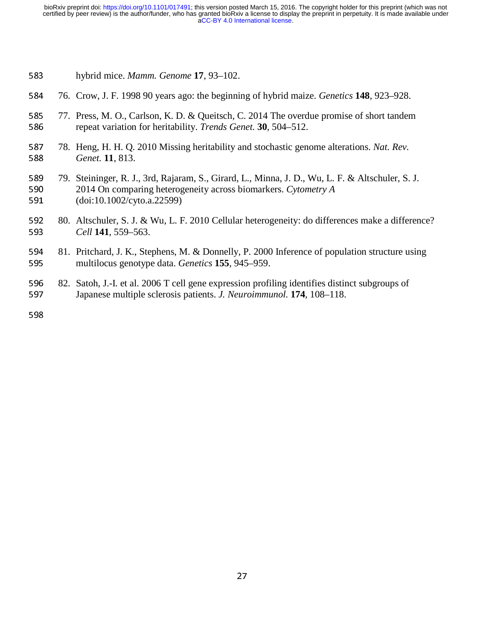- <sup>583</sup>hybrid mice. *Mamm. Genome* **<sup>17</sup>**, 93–102.
- <sup>584</sup>76. Crow, J. F. 1998 90 years ago: the beginning of hybrid maize. *Genetics* **<sup>148</sup>**, 923–928.
- 585 77. Press, M. O., Carlson, K. D. & Queitsch, C. 2014 The overdue promise of short tandem repeat variation for heritability. *Trends Genet*. **30**, 504–512. <sup>586</sup>repeat variation for heritability. *Trends Genet.* **<sup>30</sup>**, 504–512.
- 587 78. Heng, H. H. Q. 2010 Missing heritability and stochastic genome alterations. *Nat. Rev. Genet.* **11**, 813. <sup>588</sup>*Genet.* **<sup>11</sup>**, 813.
- 589 79. Steininger, R. J., 3rd, Rajaram, S., Girard, L., Minna, J. D., Wu, L. F. & Altschuler, S. J.<br>590 2014 On comparing heterogeneity across biomarkers. Cytometry A 590 2014 On comparing heterogeneity across biomarkers. *Cytometry A* (doi:10.1002/cyto.a.22599) <sup>591</sup>(doi:10.1002/cyto.a.22599)
- 592 80. Altschuler, S. J. & Wu, L. F. 2010 Cellular heterogeneity: do differences make a difference?<br>593 Cell 141, 559–563. <sup>593</sup>*Cell* **<sup>141</sup>**, 559–563.
- 594 81. Pritchard, J. K., Stephens, M. & Donnelly, P. 2000 Inference of population structure using<br>595 multilocus genotype data. Genetics 155, 945–959. multilocus genotype data. *Genetics* 155, 945–959.
- 596 82. Satoh, J.-I. et al. 2006 T cell gene expression profiling identifies distinct subgroups of Japanese multiple sclerosis patients. *J. Neuroimmunol*. **174**, 108–118. <sup>597</sup>Japanese multiple sclerosis patients. *J. Neuroimmunol.* **<sup>174</sup>**, 108–118.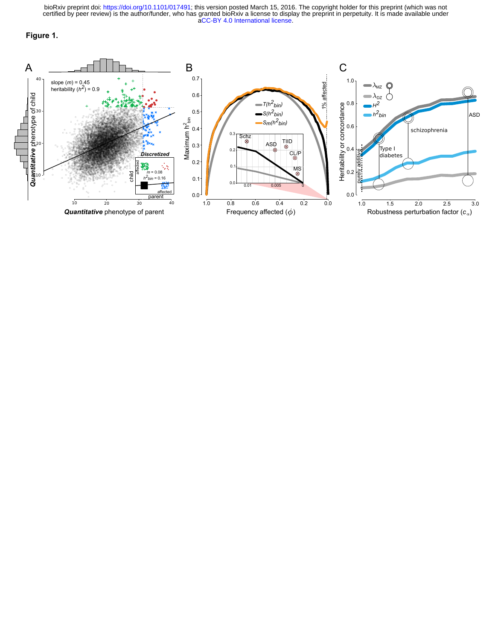**Figure 1.**

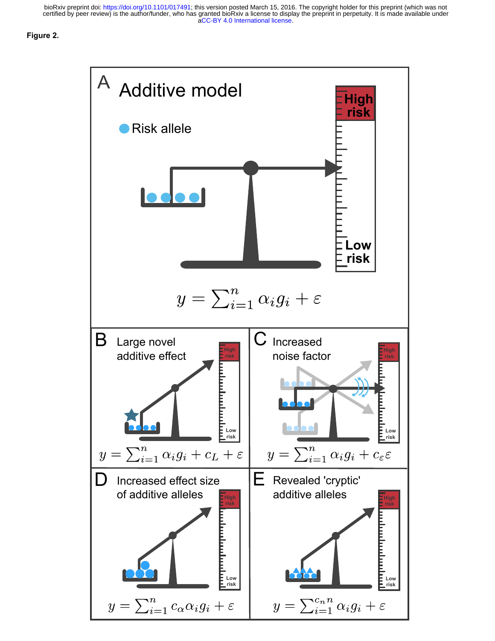## **Figure 2.**

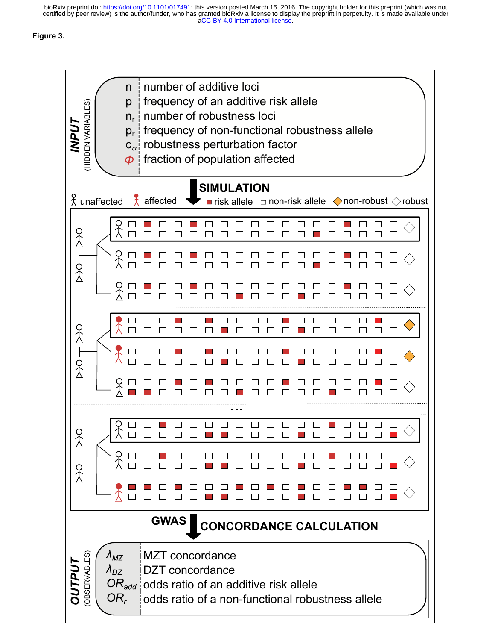certified by peer review) is the author/funder, who has granted bioRxiv a license to display the preprint in perpetuity. It is made available under<br>[aCC-BY 4.0 International license.](http://creativecommons.org/licenses/by/4.0/) bioRxiv preprint doi: [https://doi.org/10.1101/017491;](https://doi.org/10.1101/017491) this version posted March 15, 2016. The copyright holder for this preprint (which was not

# **Figure 3.**